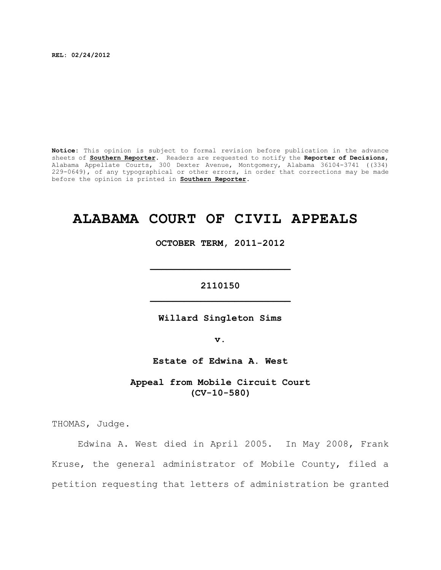**REL: 02/24/2012**

**Notice:** This opinion is subject to formal revision before publication in the advance sheets of **Southern Reporter**. Readers are requested to notify the **Reporter of Decisions**, Alabama Appellate Courts, 300 Dexter Avenue, Montgomery, Alabama 36104-3741 ((334) 229-0649), of any typographical or other errors, in order that corrections may be made before the opinion is printed in **Southern Reporter**.

# **ALABAMA COURT OF CIVIL APPEALS**

**OCTOBER TERM, 2011-2012**

**\_\_\_\_\_\_\_\_\_\_\_\_\_\_\_\_\_\_\_\_\_\_\_\_\_**

**2110150 \_\_\_\_\_\_\_\_\_\_\_\_\_\_\_\_\_\_\_\_\_\_\_\_\_**

**Willard Singleton Sims**

**v.**

**Estate of Edwina A. West**

**Appeal from Mobile Circuit Court (CV-10-580)**

THOMAS, Judge.

Edwina A. West died in April 2005. In May 2008, Frank Kruse, the general administrator of Mobile County, filed a petition requesting that letters of administration be granted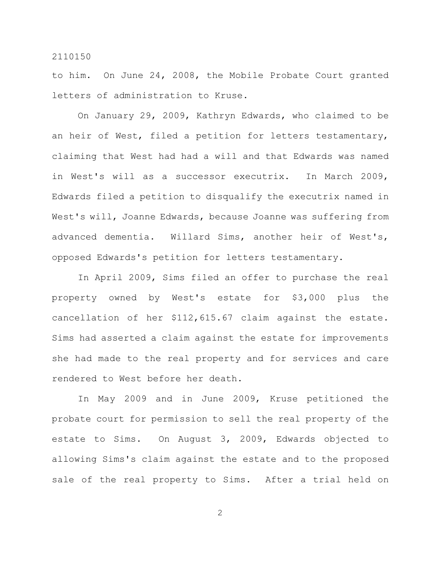to him. On June 24, 2008, the Mobile Probate Court granted letters of administration to Kruse.

On January 29, 2009, Kathryn Edwards, who claimed to be an heir of West, filed a petition for letters testamentary, claiming that West had had a will and that Edwards was named in West's will as a successor executrix. In March 2009, Edwards filed a petition to disqualify the executrix named in West's will, Joanne Edwards, because Joanne was suffering from advanced dementia. Willard Sims, another heir of West's, opposed Edwards's petition for letters testamentary.

In April 2009, Sims filed an offer to purchase the real property owned by West's estate for \$3,000 plus the cancellation of her \$112,615.67 claim against the estate. Sims had asserted a claim against the estate for improvements she had made to the real property and for services and care rendered to West before her death.

In May 2009 and in June 2009, Kruse petitioned the probate court for permission to sell the real property of the estate to Sims. On August 3, 2009, Edwards objected to allowing Sims's claim against the estate and to the proposed sale of the real property to Sims. After a trial held on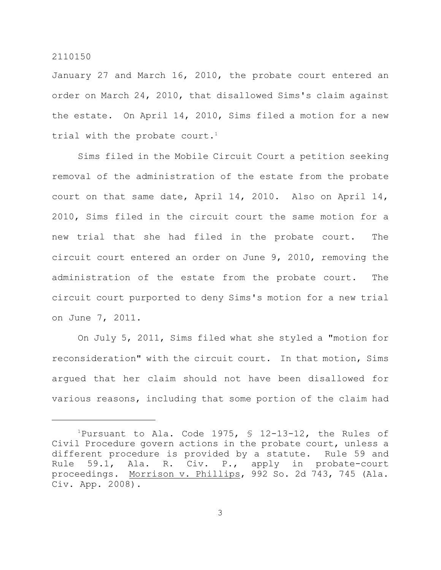January 27 and March 16, 2010, the probate court entered an order on March 24, 2010, that disallowed Sims's claim against the estate. On April 14, 2010, Sims filed a motion for a new trial with the probate court.<sup>1</sup>

Sims filed in the Mobile Circuit Court a petition seeking removal of the administration of the estate from the probate court on that same date, April 14, 2010. Also on April 14, 2010, Sims filed in the circuit court the same motion for a new trial that she had filed in the probate court. The circuit court entered an order on June 9, 2010, removing the administration of the estate from the probate court. The circuit court purported to deny Sims's motion for a new trial on June 7, 2011.

On July 5, 2011, Sims filed what she styled a "motion for reconsideration" with the circuit court. In that motion, Sims argued that her claim should not have been disallowed for various reasons, including that some portion of the claim had

<sup>&</sup>lt;sup>1</sup>Pursuant to Ala. Code 1975,  $\frac{1}{2}$  12-13-12, the Rules of Civil Procedure govern actions in the probate court, unless a different procedure is provided by a statute. Rule 59 and Rule 59.1, Ala. R. Civ. P., apply in probate-court proceedings. Morrison v. Phillips, 992 So. 2d 743, 745 (Ala. Civ. App. 2008).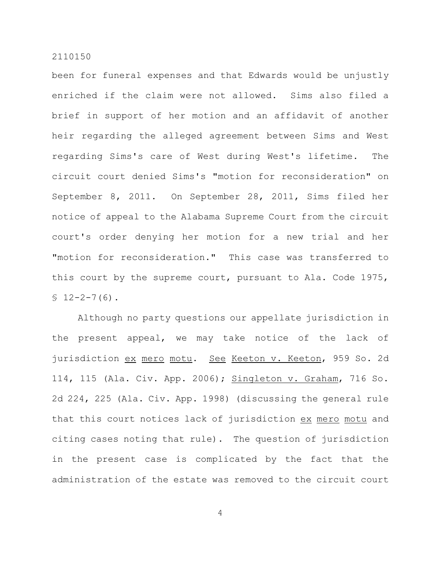been for funeral expenses and that Edwards would be unjustly enriched if the claim were not allowed. Sims also filed a brief in support of her motion and an affidavit of another heir regarding the alleged agreement between Sims and West regarding Sims's care of West during West's lifetime. The circuit court denied Sims's "motion for reconsideration" on September 8, 2011. On September 28, 2011, Sims filed her notice of appeal to the Alabama Supreme Court from the circuit court's order denying her motion for a new trial and her "motion for reconsideration." This case was transferred to this court by the supreme court, pursuant to Ala. Code 1975,  $$12-2-7(6)$ .

Although no party questions our appellate jurisdiction in the present appeal, we may take notice of the lack of jurisdiction ex mero motu. See Keeton v. Keeton, 959 So. 2d 114, 115 (Ala. Civ. App. 2006); Singleton v. Graham, 716 So. 2d 224, 225 (Ala. Civ. App. 1998) (discussing the general rule that this court notices lack of jurisdiction ex mero motu and citing cases noting that rule). The question of jurisdiction in the present case is complicated by the fact that the administration of the estate was removed to the circuit court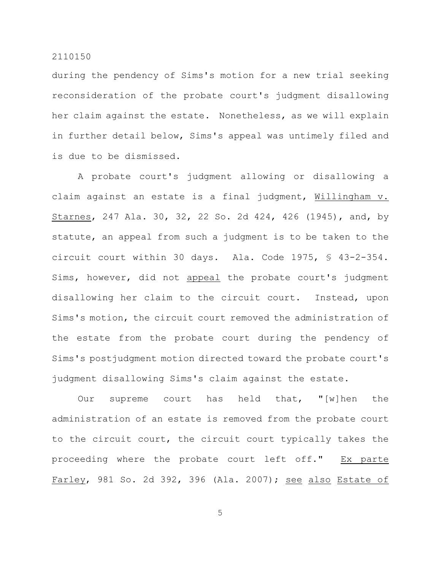during the pendency of Sims's motion for a new trial seeking reconsideration of the probate court's judgment disallowing her claim against the estate. Nonetheless, as we will explain in further detail below, Sims's appeal was untimely filed and is due to be dismissed.

A probate court's judgment allowing or disallowing a claim against an estate is a final judgment, Willingham v. Starnes, 247 Ala. 30, 32, 22 So. 2d 424, 426 (1945), and, by statute, an appeal from such a judgment is to be taken to the circuit court within 30 days. Ala. Code 1975, § 43-2-354. Sims, however, did not appeal the probate court's judgment disallowing her claim to the circuit court. Instead, upon Sims's motion, the circuit court removed the administration of the estate from the probate court during the pendency of Sims's postjudgment motion directed toward the probate court's judgment disallowing Sims's claim against the estate.

Our supreme court has held that, "[w] hen the administration of an estate is removed from the probate court to the circuit court, the circuit court typically takes the proceeding where the probate court left off." Ex parte Farley, 981 So. 2d 392, 396 (Ala. 2007); see also Estate of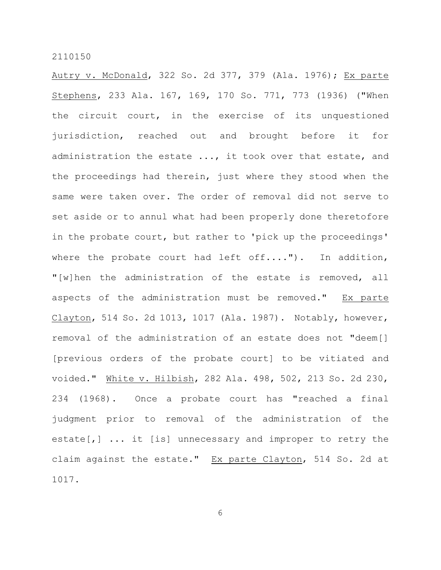Autry v. McDonald, 322 So. 2d 377, 379 (Ala. 1976); Ex parte Stephens, 233 Ala. 167, 169, 170 So. 771, 773 (1936) ("When the circuit court, in the exercise of its unquestioned jurisdiction, reached out and brought before it for administration the estate ..., it took over that estate, and the proceedings had therein, just where they stood when the same were taken over. The order of removal did not serve to set aside or to annul what had been properly done theretofore in the probate court, but rather to 'pick up the proceedings' where the probate court had left off...."). In addition, "[w]hen the administration of the estate is removed, all aspects of the administration must be removed." Ex parte Clayton, 514 So. 2d 1013, 1017 (Ala. 1987). Notably, however, removal of the administration of an estate does not "deem[] [previous orders of the probate court] to be vitiated and voided." White v. Hilbish, 282 Ala. 498, 502, 213 So. 2d 230, 234 (1968). Once a probate court has "reached a final judgment prior to removal of the administration of the estate[,] ... it [is] unnecessary and improper to retry the claim against the estate." Ex parte Clayton, 514 So. 2d at 1017.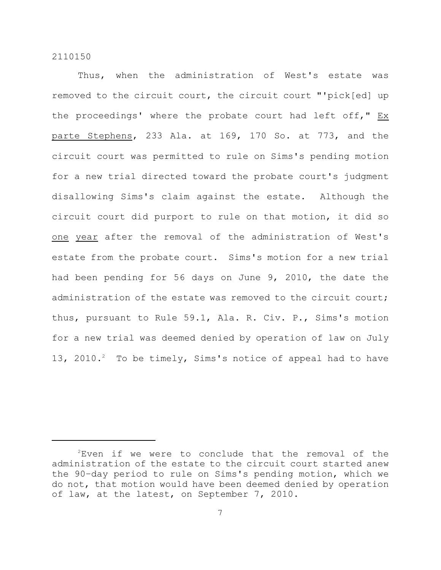Thus, when the administration of West's estate was removed to the circuit court, the circuit court "'pick[ed] up the proceedings' where the probate court had left off," Ex parte Stephens, 233 Ala. at 169, 170 So. at 773, and the circuit court was permitted to rule on Sims's pending motion for a new trial directed toward the probate court's judgment disallowing Sims's claim against the estate. Although the circuit court did purport to rule on that motion, it did so one year after the removal of the administration of West's estate from the probate court. Sims's motion for a new trial had been pending for 56 days on June 9, 2010, the date the administration of the estate was removed to the circuit court; thus, pursuant to Rule 59.1, Ala. R. Civ. P., Sims's motion for a new trial was deemed denied by operation of law on July 13, 2010. $^{2}$  To be timely, Sims's notice of appeal had to have

 $2$ Even if we were to conclude that the removal of the administration of the estate to the circuit court started anew the 90–day period to rule on Sims's pending motion, which we do not, that motion would have been deemed denied by operation of law, at the latest, on September 7, 2010.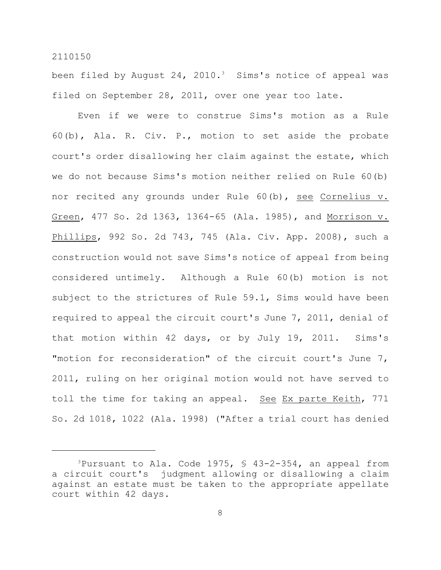been filed by August 24, 2010.<sup>3</sup> Sims's notice of appeal was filed on September 28, 2011, over one year too late.

Even if we were to construe Sims's motion as a Rule 60(b), Ala. R. Civ. P., motion to set aside the probate court's order disallowing her claim against the estate, which we do not because Sims's motion neither relied on Rule 60(b) nor recited any grounds under Rule 60(b), see Cornelius v. Green, 477 So. 2d 1363, 1364-65 (Ala. 1985), and Morrison v. Phillips, 992 So. 2d 743, 745 (Ala. Civ. App. 2008), such a construction would not save Sims's notice of appeal from being considered untimely. Although a Rule 60(b) motion is not subject to the strictures of Rule 59.1, Sims would have been required to appeal the circuit court's June 7, 2011, denial of that motion within 42 days, or by July 19, 2011. Sims's "motion for reconsideration" of the circuit court's June 7, 2011, ruling on her original motion would not have served to toll the time for taking an appeal. See Ex parte Keith, 771 So. 2d 1018, 1022 (Ala. 1998) ("After a trial court has denied

<sup>&</sup>lt;sup>3</sup>Pursuant to Ala. Code 1975,  $\frac{6}{5}$  43-2-354, an appeal from a circuit court's judgment allowing or disallowing a claim against an estate must be taken to the appropriate appellate court within 42 days.